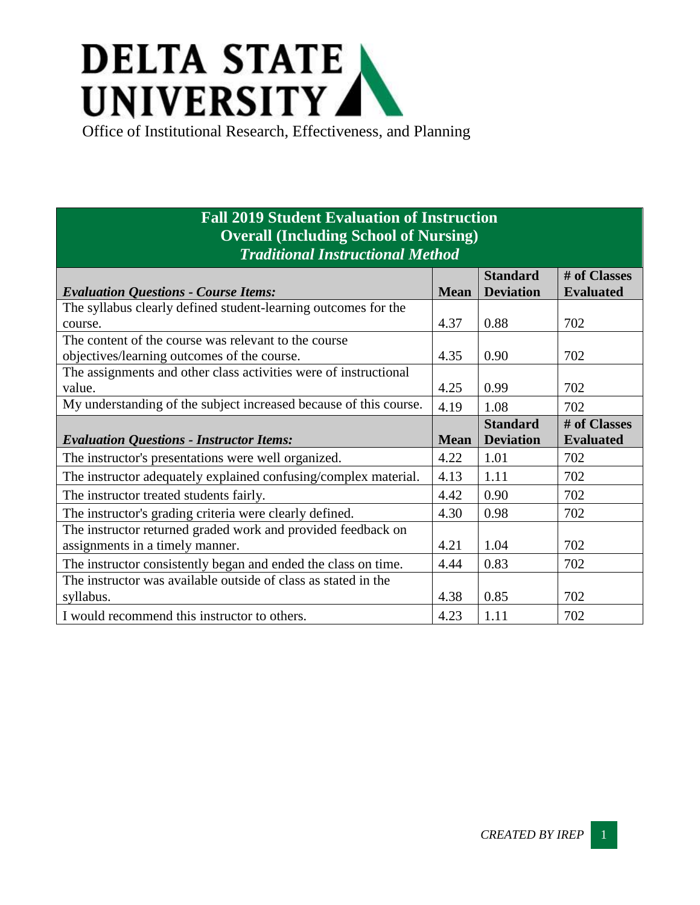## **DELTA STATE** UNIVERSITY

Office of Institutional Research, Effectiveness, and Planning

## **Fall 2019 Student Evaluation of Instruction Overall (Including School of Nursing)** *Traditional Instructional Method*

|                                                                   |             | <b>Standard</b>  | # of Classes     |
|-------------------------------------------------------------------|-------------|------------------|------------------|
| <b>Evaluation Questions - Course Items:</b>                       | <b>Mean</b> | <b>Deviation</b> | <b>Evaluated</b> |
| The syllabus clearly defined student-learning outcomes for the    |             |                  |                  |
| course.                                                           | 4.37        | 0.88             | 702              |
| The content of the course was relevant to the course              |             |                  |                  |
| objectives/learning outcomes of the course.                       | 4.35        | 0.90             | 702              |
| The assignments and other class activities were of instructional  |             |                  |                  |
| value.                                                            | 4.25        | 0.99             | 702              |
| My understanding of the subject increased because of this course. | 4.19        | 1.08             | 702              |
|                                                                   |             | <b>Standard</b>  | # of Classes     |
| <b>Evaluation Questions - Instructor Items:</b>                   | <b>Mean</b> | <b>Deviation</b> | <b>Evaluated</b> |
| The instructor's presentations were well organized.               | 4.22        | 1.01             | 702              |
| The instructor adequately explained confusing/complex material.   | 4.13        | 1.11             | 702              |
| The instructor treated students fairly.                           | 4.42        | 0.90             | 702              |
| The instructor's grading criteria were clearly defined.           | 4.30        | 0.98             | 702              |
| The instructor returned graded work and provided feedback on      |             |                  |                  |
| assignments in a timely manner.                                   | 4.21        | 1.04             | 702              |
| The instructor consistently began and ended the class on time.    | 4.44        | 0.83             | 702              |
| The instructor was available outside of class as stated in the    |             |                  |                  |
| syllabus.                                                         | 4.38        | 0.85             | 702              |
| I would recommend this instructor to others.                      | 4.23        | 1.11             | 702              |